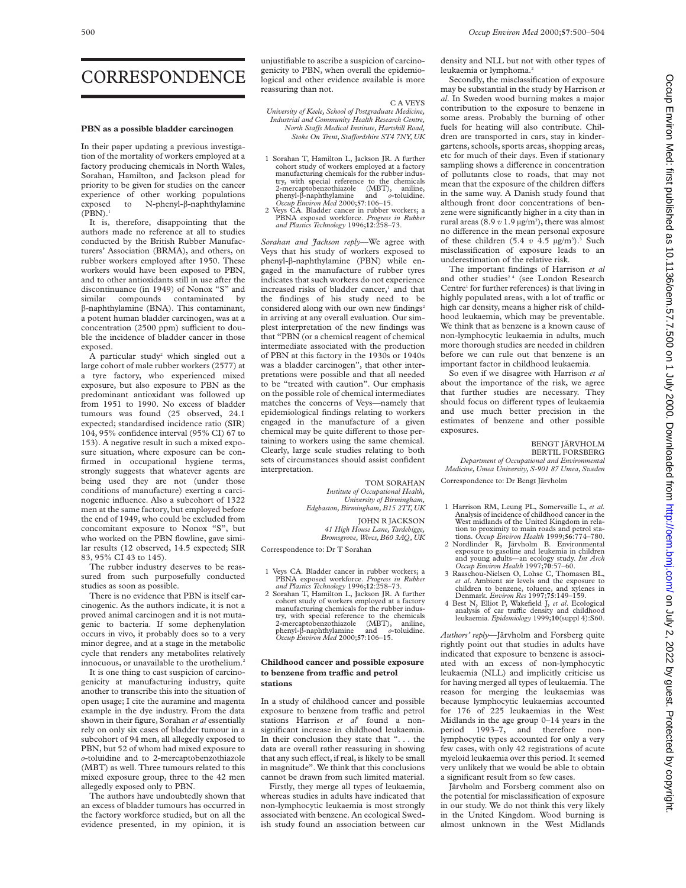## CORRESPONDENCE

### **PBN as a possible bladder carcinogen**

In their paper updating a previous investigation of the mortality of workers employed at a factory producing chemicals in North Wales, Sorahan, Hamilton, and Jackson plead for priority to be given for studies on the cancer experience of other working populations exposed to N-phenyl- $\beta$ -naphthylamine  $(PBN).<sup>1</sup>$ 

It is, therefore, disappointing that the authors made no reference at all to studies conducted by the British Rubber Manufacturers' Association (BRMA), and others, on rubber workers employed after 1950. These workers would have been exposed to PBN, and to other antioxidants still in use after the discontinuance (in 1949) of Nonox "S" and similar compounds contaminated by â-naphthylamine (BNA). This contaminant, a potent human bladder carcinogen, was at a concentration (2500 ppm) sufficient to double the incidence of bladder cancer in those exposed.

A particular study<sup>2</sup> which singled out a large cohort of male rubber workers (2577) at a tyre factory, who experienced mixed exposure, but also exposure to PBN as the predominant antioxidant was followed up from 1951 to 1990. No excess of bladder tumours was found (25 observed, 24.1 expected; standardised incidence ratio (SIR) 104, 95% confidence interval (95% CI) 67 to 153). A negative result in such a mixed exposure situation, where exposure can be confirmed in occupational hygiene terms, strongly suggests that whatever agents are being used they are not (under those conditions of manufacture) exerting a carcinogenic influence. Also a subcohort of 1322 men at the same factory, but employed before the end of 1949, who could be excluded from concomitant exposure to Nonox "S", but who worked on the PBN flowline, gave similar results (12 observed, 14.5 expected; SIR 83, 95% CI 43 to 145).

The rubber industry deserves to be reassured from such purposefully conducted studies as soon as possible.

There is no evidence that PBN is itself carcinogenic. As the authors indicate, it is not a proved animal carcinogen and it is not mutagenic to bacteria. If some dephenylation occurs in vivo, it probably does so to a very minor degree, and at a stage in the metabolic cycle that renders any metabolites relatively innocuous, or unavailable to the urothelium.<sup>2</sup>

It is one thing to cast suspicion of carcinogenicity at manufacturing industry, quite another to transcribe this into the situation of open usage; I cite the auramine and magenta example in the dye industry. From the data shown in their figure, Sorahan *et al* essentially rely on only six cases of bladder tumour in a subcohort of 94 men, all allegedly exposed to PBN, but 52 of whom had mixed exposure to *o*-toluidine and to 2-mercaptobenzothiazole (MBT) as well. Three tumours related to this mixed exposure group, three to the 42 men allegedly exposed only to PBN.

The authors have undoubtedly shown that an excess of bladder tumours has occurred in the factory workforce studied, but on all the evidence presented, in my opinion, it is unjustifiable to ascribe a suspicion of carcinogenicity to PBN, when overall the epidemiological and other evidence available is more reassuring than not.

C A VEYS

*University of Keele, School of Postgraduate Medicine, Industrial and Community Health Research Centre, North StaVs Medical Institute, Hartshill Road, Stoke On Trent, StaVordshire ST4 7NY, UK*

- 1 Sorahan T, Hamilton L, Jackson JR. A further cohort study of workers employed at a factory manufacturing chemicals for the rubber industry, with special reference to the chemicals 2-mercaptobenzothiazole (MBT), aniline, phenyl-â-naphthylamine and *o*-toluidine. *Occup Environ Med* 2000;**57**:106–15. 2 Veys CA. Bladder cancer in rubber workers; a
- PBNA exposed workforce. *Progress in Rubber and Plastics Technology* 1996;**12**:258–73.

*Sorahan and Jackson reply*—We agree with Veys that his study of workers exposed to phenyl-â-naphthylamine (PBN) while engaged in the manufacture of rubber tyres indicates that such workers do not experience increased risks of bladder cancer,<sup>1</sup> and that the findings of his study need to be considered along with our own new findings<sup>2</sup> in arriving at any overall evaluation. Our simplest interpretation of the new findings was that "PBN (or a chemical reagent of chemical intermediate associated with the production of PBN at this factory in the 1930s or 1940s was a bladder carcinogen", that other interpretations were possible and that all needed to be "treated with caution". Our emphasis on the possible role of chemical intermediates matches the concerns of Veys—namely that epidemiological findings relating to workers engaged in the manufacture of a given chemical may be quite different to those pertaining to workers using the same chemical. Clearly, large scale studies relating to both sets of circumstances should assist confident interpretation.

> TOM SORAHAN *Institute of Occupational Health, University of Birmingham, Edgbaston, Birmingham, B15 2TT, UK*

> > JOHN R JACKSON *41 High House Lane, Tardebigge, Bromsgrove, Worcs, B60 3AQ, UK*

Correspondence to: Dr T Sorahan

- 1 Veys CA. Bladder cancer in rubber workers; a PBNA exposed workforce. *Progress in Rubber and Plastics Technology* 1996;**12**:258–73.
- 2 Sorahan T, Hamilton L, Jackson JR. A further cohort study of workers employed at a factory manufacturing chemicals for the rubber indus-try, with special reference to the chemicals 2-mercaptobenzothiazole (MBT), aniline, phenyl-â-naphthylamine and *o*-toluidine. *Occup Environ Med* 2000;**57**:106–15.

### **Childhood cancer and possible exposure to benzene from traYc and petrol stations**

In a study of childhood cancer and possible exposure to benzene from traffic and petrol stations Harrison et al<sup>1</sup> found a nonsignificant increase in childhood leukaemia. In their conclusion they state that ". . . the data are overall rather reassuring in showing that any such effect, if real, is likely to be small in magnitude". We think that this conclusions cannot be drawn from such limited material.

Firstly, they merge all types of leukaemia, whereas studies in adults have indicated that non-lymphocytic leukaemia is most strongly associated with benzene. An ecological Swedish study found an association between car

density and NLL but not with other types of leukaemia or lymphoma.<sup>2</sup>

Secondly, the misclassification of exposure may be substantial in the study by Harrison *et al*. In Sweden wood burning makes a major contribution to the exposure to benzene in some areas. Probably the burning of other fuels for heating will also contribute. Children are transported in cars, stay in kindergartens, schools, sports areas, shopping areas, etc for much of their days. Even if stationary sampling shows a difference in concentration of pollutants close to roads, that may not mean that the exposure of the children differs in the same way. A Danish study found that although front door concentrations of benzene were significantly higher in a city than in rural areas  $(8.9 v 1.9 \,\mathrm{\upmu g/m^3})$ , there was almost no difference in the mean personal exposure of these children  $(5.4 \ v 4.5 \ \mu g/m^3)$ .<sup>3</sup> Such misclassification of exposure leads to an underestimation of the relative risk.

The important findings of Harrison *et al* and other studies<sup>24</sup> (see London Research Centre<sup>1</sup> for further references) is that living in highly populated areas, with a lot of traffic or high car density, means a higher risk of childhood leukaemia, which may be preventable. We think that as benzene is a known cause of non-lymphocytic leukaemia in adults, much more thorough studies are needed in children before we can rule out that benzene is an important factor in childhood leukaemia.

So even if we disagree with Harrison *et al* about the importance of the risk, we agree that further studies are necessary. They should focus on different types of leukaemia and use much better precision in the estimates of benzene and other possible exposures.

#### BENGT JÄRVHOLM BERTIL FORSBERG

*Department of Occupational and Environmental Medicine, Umea University, S-901 87 Umea, Sweden*

Correspondence to: Dr Bengt Järvholm

- 1 Harrison RM, Leung PL, Somervaille L, *et al*. Analysis of incidence of childhood cancer in the West midlands of the United Kingdom in rela-
- tion to proximity to main roads and petrol sta-<br>tions. *Occup Environ Health* 1999;66:774-780.<br>2 Nordlinder R, Järvholm B. Environmental<br>exposure to gasoline and leukemia in children<br>and young adults—an ecology study. *In*
- 3 Raaschou-Nielsen O, Lohse C, Thomasen BL, *et al*. Ambient air levels and the exposure to children to benzene, toluene, and xylenes in Denmark. *Environ Res* 1997;**75**:149–159.
- 4 Best N, Elliot P, Wakefield J, *et al*. Ecological analysis of car traffic density and childhood leukaemia. *Epidemiology* 1999;**10**(suppl 4):S60.

*Authors' reply*—Järvholm and Forsberg quite rightly point out that studies in adults have indicated that exposure to benzene is associated with an excess of non-lymphocytic leukaemia (NLL) and implicitly criticise us for having merged all types of leukaemia. The reason for merging the leukaemias was because lymphocytic leukaemias accounted for 176 of 225 leukaemias in the West Midlands in the age group 0–14 years in the period 1993–7, and therefore nonlymphocytic types accounted for only a very few cases, with only 42 registrations of acute myeloid leukaemia over this period. It seemed very unlikely that we would be able to obtain a significant result from so few cases.

Järvholm and Forsberg comment also on the potential for misclassification of exposure in our study. We do not think this very likely in the United Kingdom. Wood burning is almost unknown in the West Midlands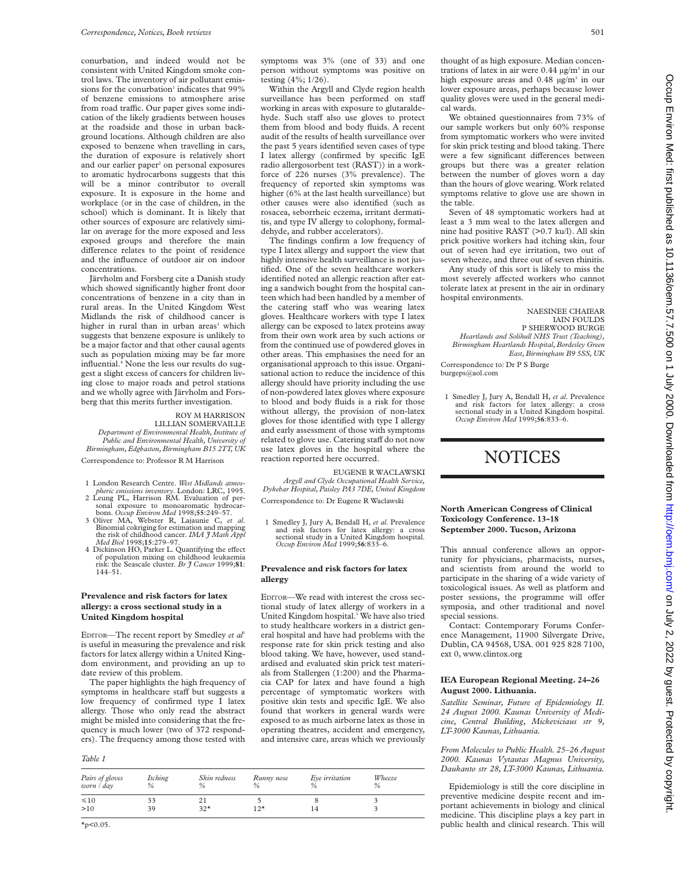conurbation, and indeed would not be consistent with United Kingdom smoke control laws. The inventory of air pollutant emissions for the conurbation<sup>1</sup> indicates that  $99\%$ of benzene emissions to atmosphere arise from road traffic. Our paper gives some indication of the likely gradients between houses at the roadside and those in urban background locations. Although children are also exposed to benzene when travelling in cars, the duration of exposure is relatively short and our earlier paper<sup>2</sup> on personal exposures to aromatic hydrocarbons suggests that this will be a minor contributor to overall exposure. It is exposure in the home and workplace (or in the case of children, in the school) which is dominant. It is likely that other sources of exposure are relatively similar on average for the more exposed and less exposed groups and therefore the main difference relates to the point of residence and the influence of outdoor air on indoor concentrations.

Järvholm and Forsberg cite a Danish study which showed significantly higher front door concentrations of benzene in a city than in rural areas. In the United Kingdom West Midlands the risk of childhood cancer is higher in rural than in urban areas<sup>3</sup> which suggests that benzene exposure is unlikely to be a major factor and that other causal agents such as population mixing may be far more influential.<sup>4</sup> None the less our results do suggest a slight excess of cancers for children living close to major roads and petrol stations and we wholly agree with Järvholm and Forsberg that this merits further investigation.

### ROY M HARRISON

LILLIAN SOMERVAILLE *Department of Environmental Health, Institute of Public and Environmental Health, University of Birmingham, Edgbaston, Birmingham B15 2TT, UK*

Correspondence to: Professor R M Harrison

- 1 London Research Centre. *West Midlands atmos-*
- *pheric emissions inventory*. London: LRC, 1995. 2 Leung PL, Harrison RM. Evaluation of per-
- sonal exposure to monoaromatic hydrocar-bons. *Occup Environ Med* 1998;**55**:249–57. 3 Oliver MA, Webster R, Lajaunie C, *et al*. Binomial cokriging for estimation and mapping the risk of childhood cancer. *IMA J Math Appl Med Biol* 1998;**15**:279–97.
- 4 Dickinson HO, Parker L. Quantifying the effect of population mixing on childhood leukaemia risk: the Seascale cluster. *Br J Cancer* 1999;**81**: 144–51.

### **Prevalence and risk factors for latex allergy: a cross sectional study in a United Kingdom hospital**

EDITOR-The recent report by Smedley et al<sup>1</sup> is useful in measuring the prevalence and risk factors for latex allergy within a United Kingdom environment, and providing an up to date review of this problem.

The paper highlights the high frequency of symptoms in healthcare staff but suggests a low frequency of confirmed type I latex allergy. Those who only read the abstract might be misled into considering that the frequency is much lower (two of 372 responders). The frequency among those tested with

### *Table 1*

| Pairs of gloves<br>worn / day | Itching<br>% | Skin redness<br>$\%$ | Runny nose<br>$\%$ | Eye irritation | Wheeze<br>$\%$ |
|-------------------------------|--------------|----------------------|--------------------|----------------|----------------|
| $\leq 10$                     | 33           |                      |                    |                |                |
| >10                           | 39           | $32*$                | $12*$              | 14             |                |

symptoms was 3% (one of 33) and one person without symptoms was positive on testing (4%; 1/26).

Within the Argyll and Clyde region health surveillance has been performed on staff working in areas with exposure to glutaraldehyde. Such staff also use gloves to protect them from blood and body fluids. A recent audit of the results of health surveillance over the past 5 years identified seven cases of type I latex allergy (confirmed by specific IgE radio allergosorbent test (RAST)) in a workforce of 226 nurses (3% prevalence). The frequency of reported skin symptoms was higher (6% at the last health surveillance) but other causes were also identified (such as rosacea, seborrheic eczema, irritant dermatitis, and type IV allergy to colophony, formaldehyde, and rubber accelerators).

The findings confirm a low frequency of type I latex allergy and support the view that highly intensive health surveillance is not justified. One of the seven healthcare workers identified noted an allergic reaction after eating a sandwich bought from the hospital canteen which had been handled by a member of the catering staff who was wearing latex gloves. Healthcare workers with type I latex allergy can be exposed to latex proteins away from their own work area by such actions or from the continued use of powdered gloves in other areas. This emphasises the need for an organisational approach to this issue. Organisational action to reduce the incidence of this allergy should have priority including the use of non-powdered latex gloves where exposure to blood and body fluids is a risk for those without allergy, the provision of non-latex gloves for those identified with type I allergy and early assessment of those with symptoms related to glove use. Catering staff do not now use latex gloves in the hospital where the reaction reported here occurred.

EUGENE R WACLAWSKI *Argyll and Clyde Occupational Health Service, Dykebar Hospital, Paisley PA3 7DE, United Kingdom* Correspondence to: Dr Eugene R Waclawski

1 Smedley J, Jury A, Bendall H, *et al*. Prevalence and risk factors for latex allergy: a cross sectional study in a United Kingdom hospital. *Occup Environ Med* 1999;**56**:833–6.

### **Prevalence and risk factors for latex allergy**

EDITOR—We read with interest the cross sectional study of latex allergy of workers in a United Kingdom hospital.<sup>1</sup> We have also tried to study healthcare workers in a district general hospital and have had problems with the response rate for skin prick testing and also blood taking. We have, however, used standardised and evaluated skin prick test materials from Stallergen (1:200) and the Pharmacia CAP for latex and have found a high percentage of symptomatic workers with positive skin tests and specific IgE. We also found that workers in general wards were exposed to as much airborne latex as those in operating theatres, accident and emergency, and intensive care, areas which we previously

thought of as high exposure. Median concentrations of latex in air were  $0.44 \mu g/m^3$  in our high exposure areas and 0.48 µg/m<sup>3</sup> in our lower exposure areas, perhaps because lower quality gloves were used in the general medical wards.

We obtained questionnaires from 73% of our sample workers but only 60% response from symptomatic workers who were invited for skin prick testing and blood taking. There were a few significant differences between groups but there was a greater relation between the number of gloves worn a day than the hours of glove wearing. Work related symptoms relative to glove use are shown in the table.

Seven of 48 symptomatic workers had at least a 3 mm weal to the latex allergen and nine had positive RAST (>0.7 ku/l). All skin prick positive workers had itching skin, four out of seven had eye irritation, two out of seven wheeze, and three out of seven rhinitis.

Any study of this sort is likely to miss the most severely affected workers who cannot tolerate latex at present in the air in ordinary hospital environments.

NAESINEE CHAIEAR IAIN FOULDS P SHERWOOD BURGE *Heartlands and Solihull NHS Trust (Teaching), Birmingham Heartlands Hospital, Bordesley Green East, Birmingham B9 5SS, UK*

Correspondence to: Dr P S Burge burgeps@aol.com

1 Smedley J, Jury A, Bendall H, *et al*. Prevalence and risk factors for latex allergy: a cross sectional study in a United Kingdom hospital. *Occup Environ Med* 1999;**56**:833–6.

# **NOTICES**

### **North American Congress of Clinical Toxicology Conference. 13-18 September 2000. Tucson, Arizona**

This annual conference allows an opportunity for physicians, pharmacists, nurses, and scientists from around the world to participate in the sharing of a wide variety of toxicological issues. As well as platform and poster sessions, the programme will offer symposia, and other traditional and novel special sessions.

Contact: Contemporary Forums Conference Management, 11900 Silvergate Drive, Dublin, CA 94568, USA. 001 925 828 7100, ext 0, www.clintox.org

### **IEA European Regional Meeting. 24–26 August 2000. Lithuania.**

*Satellite Seminar, Future of Epidemiology II. 24 August 2000. Kaunas University of Medicine, Central Building, Mickeviciaus str 9, LT-3000 Kaunas, Lithuania.*

*From Molecules to Public Health. 25–26 August 2000. Kaunas Vytautas Magnus University, Daukanto str 28, LT-3000 Kaunas, Lithuania.*

Epidemiology is still the core discipline in preventive medicine despite recent and important achievements in biology and clinical medicine. This discipline plays a key part in public health and clinical research. This will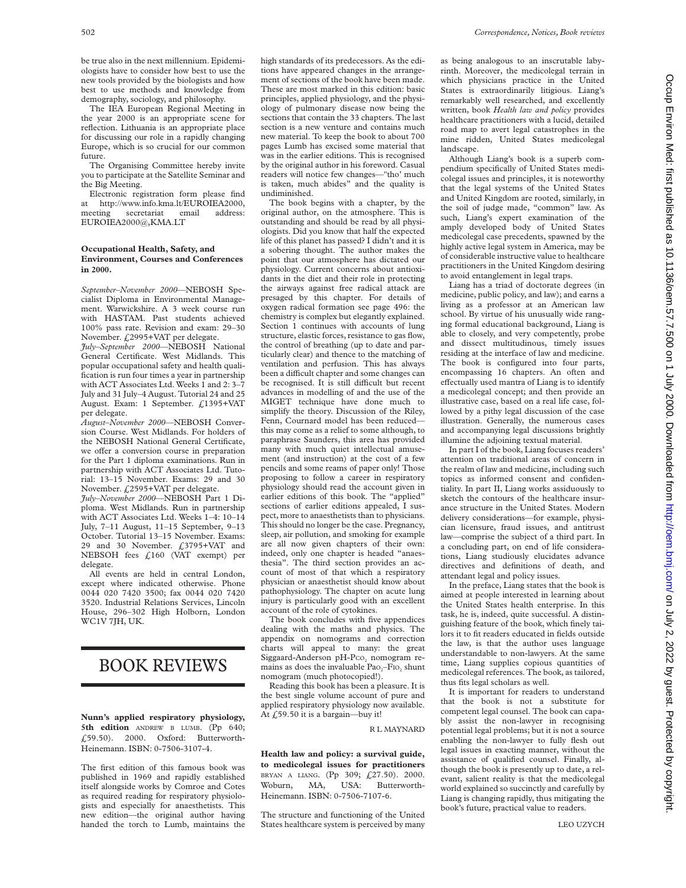be true also in the next millennium. Epidemiologists have to consider how best to use the new tools provided by the biologists and how best to use methods and knowledge from demography, sociology, and philosophy.

The IEA European Regional Meeting in the year 2000 is an appropriate scene for reflection. Lithuania is an appropriate place for discussing our role in a rapidly changing Europe, which is so crucial for our common future.

The Organising Committee hereby invite you to participate at the Satellite Seminar and the Big Meeting.

Electronic registration form please find at http://www.info.kma.lt/EUROIEA2000, meeting secretariat email address: EUROIEA2000@,KMA.LT

### **Occupational Health, Safety, and Environment, Courses and Conferences in 2000.**

*September–November 2000*—NEBOSH Specialist Diploma in Environmental Management. Warwickshire. A 3 week course run with HASTAM. Past students achieved 100% pass rate. Revision and exam: 29–30 November. £2995+VAT per delegate.

*July–September 2000*—NEBOSH National General Certificate. West Midlands. This popular occupational safety and health qualification is run four times a year in partnership with ACT Associates Ltd. Weeks 1 and 2: 3–7 July and 31 July–4 August. Tutorial 24 and 25 August. Exam: 1 September. £1395+VAT per delegate.

*August–November 2000*—NEBOSH Conversion Course. West Midlands. For holders of the NEBOSH National General Certificate, we offer a conversion course in preparation for the Part 1 diploma examinations. Run in partnership with ACT Associates Ltd. Tutorial: 13–15 November. Exams: 29 and 30 November. £2595+VAT per delegate.

*July–November 2000*—NEBOSH Part 1 Diploma. West Midlands. Run in partnership with ACT Associates Ltd. Weeks 1–4: 10–14 July, 7–11 August, 11–15 September, 9–13 October. Tutorial 13–15 November. Exams: 29 and 30 November. £3795+VAT and NEBSOH fees £160 (VAT exempt) per delegate.

All events are held in central London, except where indicated otherwise. Phone 0044 020 7420 3500; fax 0044 020 7420 3520. Industrial Relations Services, Lincoln House, 296–302 High Holborn, London WC1V 7JH, UK.

## BOOK REVIEWS

**Nunn's applied respiratory physiology, 5th edition** ANDREW B LUMB. (Pp 640; £59.50). 2000. Oxford: Butterworth-Heinemann. ISBN: 0-7506-3107-4.

The first edition of this famous book was published in 1969 and rapidly established itself alongside works by Comroe and Cotes as required reading for respiratory physiologists and especially for anaesthetists. This new edition—the original author having handed the torch to Lumb, maintains the

high standards of its predecessors. As the editions have appeared changes in the arrangement of sections of the book have been made. These are most marked in this edition: basic principles, applied physiology, and the physiology of pulmonary disease now being the sections that contain the 33 chapters. The last section is a new venture and contains much new material. To keep the book to about 700 pages Lumb has excised some material that was in the earlier editions. This is recognised by the original author in his foreword. Casual readers will notice few changes—"tho' much is taken, much abides" and the quality is undiminished.

The book begins with a chapter, by the original author, on the atmosphere. This is outstanding and should be read by all physiologists. Did you know that half the expected life of this planet has passed? I didn't and it is a sobering thought. The author makes the point that our atmosphere has dictated our physiology. Current concerns about antioxidants in the diet and their role in protecting the airways against free radical attack are presaged by this chapter. For details of oxygen radical formation see page 496: the chemistry is complex but elegantly explained. Section 1 continues with accounts of lung structure, elastic forces, resistance to gas flow, the control of breathing (up to date and particularly clear) and thence to the matching of ventilation and perfusion. This has always been a difficult chapter and some changes can be recognised. It is still difficult but recent advances in modelling of and the use of the MIGET technique have done much to simplify the theory. Discussion of the Riley, Fenn, Cournard model has been reduced this may come as a relief to some although, to paraphrase Saunders, this area has provided many with much quiet intellectual amusement (and instruction) at the cost of a few pencils and some reams of paper only! Those proposing to follow a career in respiratory physiology should read the account given in earlier editions of this book. The "applied" sections of earlier editions appealed, I suspect, more to anaesthetists than to physicians. This should no longer be the case. Pregnancy, sleep, air pollution, and smoking for example are all now given chapters of their own: indeed, only one chapter is headed "anaesthesia". The third section provides an account of most of that which a respiratory physician or anaesthetist should know about pathophysiology. The chapter on acute lung injury is particularly good with an excellent account of the role of cytokines.

The book concludes with five appendices dealing with the maths and physics. The appendix on nomograms and correction charts will appeal to many: the great Siggaard-Anderson pH- $Pco<sub>2</sub>$  nomogram remains as does the invaluable Pao<sub>2</sub>–F<sub>IO</sub>, shunt nomogram (much photocopied!).

Reading this book has been a pleasure. It is the best single volume account of pure and applied respiratory physiology now available. At  $\angle$  59.50 it is a bargain—buy it!

### R L MAYNARD

**Health law and policy: a survival guide, to medicolegal issues for practitioners** BRYAN A LIANG. (Pp 309; £27.50). 2000. Woburn, MA, USA: Butterworth-Heinemann. ISBN: 0-7506-7107-6.

The structure and functioning of the United States healthcare system is perceived by many

as being analogous to an inscrutable labyrinth. Moreover, the medicolegal terrain in which physicians practice in the United States is extraordinarily litigious. Liang's remarkably well researched, and excellently written, book *Health law and policy* provides healthcare practitioners with a lucid, detailed road map to avert legal catastrophes in the mine ridden, United States medicolegal landscape.

Although Liang's book is a superb compendium specifically of United States medicolegal issues and principles, it is noteworthy that the legal systems of the United States and United Kingdom are rooted, similarly, in the soil of judge made, "common" law. As such, Liang's expert examination of the amply developed body of United States medicolegal case precedents, spawned by the highly active legal system in America, may be of considerable instructive value to healthcare practitioners in the United Kingdom desiring to avoid entanglement in legal traps.

Liang has a triad of doctorate degrees (in medicine, public policy, and law); and earns a living as a professor at an American law school. By virtue of his unusually wide ranging formal educational background, Liang is able to closely, and very competently, probe and dissect multitudinous, timely issues residing at the interface of law and medicine. The book is configured into four parts, encompassing 16 chapters. An often and effectually used mantra of Liang is to identify a medicolegal concept; and then provide an illustrative case, based on a real life case, followed by a pithy legal discussion of the case illustration. Generally, the numerous cases and accompanying legal discussions brightly illumine the adjoining textual material.

In part I of the book, Liang focuses readers' attention on traditional areas of concern in the realm of law and medicine, including such topics as informed consent and confidentiality. In part II, Liang works assiduously to sketch the contours of the healthcare insurance structure in the United States. Modern delivery considerations—for example, physician licensure, fraud issues, and antitrust law—comprise the subject of a third part. In a concluding part, on end of life considerations, Liang studiously elucidates advance directives and definitions of death, and attendant legal and policy issues.

In the preface, Liang states that the book is aimed at people interested in learning about the United States health enterprise. In this task, he is, indeed, quite successful. A distinguishing feature of the book, which finely tailors it to fit readers educated in fields outside the law, is that the author uses language understandable to non-lawyers. At the same time, Liang supplies copious quantities of medicolegal references. The book, as tailored, thus fits legal scholars as well.

It is important for readers to understand that the book is not a substitute for competent legal counsel. The book can capably assist the non-lawyer in recognising potential legal problems; but it is not a source enabling the non-lawyer to fully flesh out legal issues in exacting manner, without the assistance of qualified counsel. Finally, although the book is presently up to date, a relevant, salient reality is that the medicolegal world explained so succinctly and carefully by Liang is changing rapidly, thus mitigating the book's future, practical value to readers.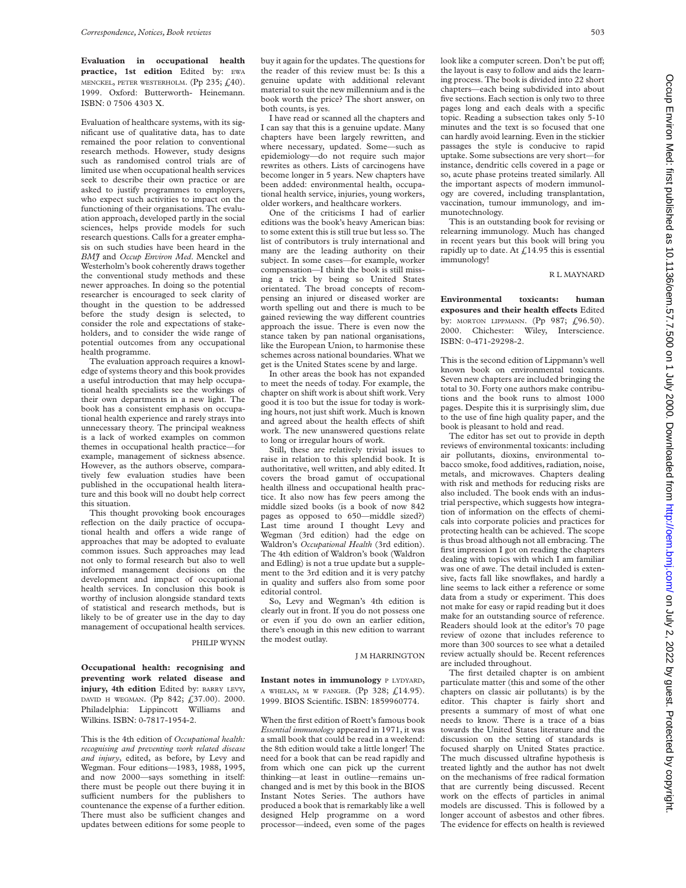**Evaluation in occupational health practice, 1st edition** Edited by: EWA MENCKEL, PETER WESTERHOLM. (Pp 235;  $f<sub>1</sub>(40)$ . 1999. Oxford: Butterworth- Heinemann. ISBN: 0 7506 4303 X.

Evaluation of healthcare systems, with its significant use of qualitative data, has to date remained the poor relation to conventional research methods. However, study designs such as randomised control trials are of limited use when occupational health services seek to describe their own practice or are asked to justify programmes to employers, who expect such activities to impact on the functioning of their organisations. The evaluation approach, developed partly in the social sciences, helps provide models for such research questions. Calls for a greater emphasis on such studies have been heard in the *BMJ* and *Occup Environ Med*. Menckel and Westerholm's book coherently draws together the conventional study methods and these newer approaches. In doing so the potential researcher is encouraged to seek clarity of thought in the question to be addressed before the study design is selected, to consider the role and expectations of stakeholders, and to consider the wide range of potential outcomes from any occupational health programme.

The evaluation approach requires a knowledge of systems theory and this book provides a useful introduction that may help occupational health specialists see the workings of their own departments in a new light. The book has a consistent emphasis on occupational health experience and rarely strays into unnecessary theory. The principal weakness is a lack of worked examples on common themes in occupational health practice—for example, management of sickness absence. However, as the authors observe, comparatively few evaluation studies have been published in the occupational health literature and this book will no doubt help correct this situation.

This thought provoking book encourages reflection on the daily practice of occupational health and offers a wide range of approaches that may be adopted to evaluate common issues. Such approaches may lead not only to formal research but also to well informed management decisions on the development and impact of occupational health services. In conclusion this book is worthy of inclusion alongside standard texts of statistical and research methods, but is likely to be of greater use in the day to day management of occupational health services.

PHILIP WYNN

**Occupational health: recognising and preventing work related disease and injury, 4th edition** Edited by: BARRY LEVY, DAVID H WEGMAN. (Pp 842; £37.00). 2000. Philadelphia: Lippincott Williams and Wilkins. ISBN: 0-7817-1954-2.

This is the 4th edition of *Occupational health: recognising and preventing work related disease and injury*, edited, as before, by Levy and Wegman. Four editions—1983, 1988, 1995, and now 2000—says something in itself: there must be people out there buying it in sufficient numbers for the publishers to countenance the expense of a further edition. There must also be sufficient changes and updates between editions for some people to buy it again for the updates. The questions for the reader of this review must be: Is this a genuine update with additional relevant material to suit the new millennium and is the book worth the price? The short answer, on both counts, is yes.

I have read or scanned all the chapters and I can say that this is a genuine update. Many chapters have been largely rewritten, and where necessary, updated. Some—such as epidemiology—do not require such major rewrites as others. Lists of carcinogens have become longer in 5 years. New chapters have been added: environmental health, occupational health service, injuries, young workers, older workers, and healthcare workers.

One of the criticisms I had of earlier editions was the book's heavy American bias: to some extent this is still true but less so. The list of contributors is truly international and many are the leading authority on their subject. In some cases—for example, worker compensation—I think the book is still missing a trick by being so United States orientated. The broad concepts of recompensing an injured or diseased worker are worth spelling out and there is much to be gained reviewing the way different countries approach the issue. There is even now the stance taken by pan national organisations, like the European Union, to harmonise these schemes across national boundaries. What we get is the United States scene by and large.

In other areas the book has not expanded to meet the needs of today. For example, the chapter on shift work is about shift work. Very good it is too but the issue for today is working hours, not just shift work. Much is known and agreed about the health effects of shift work. The new unanswered questions relate to long or irregular hours of work.

Still, these are relatively trivial issues to raise in relation to this splendid book. It is authoritative, well written, and ably edited. It covers the broad gamut of occupational health illness and occupational health practice. It also now has few peers among the middle sized books (is a book of now 842 pages as opposed to 650—middle sized?) Last time around I thought Levy and Wegman (3rd edition) had the edge on Waldron's *Occupational Health* (3rd edition). The 4th edition of Waldron's book (Waldron and Edling) is not a true update but a supplement to the 3rd edition and it is very patchy in quality and suffers also from some poor editorial control.

So, Levy and Wegman's 4th edition is clearly out in front. If you do not possess one or even if you do own an earlier edition, there's enough in this new edition to warrant the modest outlay.

J M HARRINGTON

**Instant notes in immunology** P LYDYARD, A WHELAN, M W FANGER.  $($ Pp 328;  $f$ 14.95). 1999. BIOS Scientific. ISBN: 1859960774.

When the first edition of Roett's famous book *Essential immunology* appeared in 1971, it was a small book that could be read in a weekend: the 8th edition would take a little longer! The need for a book that can be read rapidly and from which one can pick up the current thinking—at least in outline—remains unchanged and is met by this book in the BIOS Instant Notes Series. The authors have produced a book that is remarkably like a well designed Help programme on a word processor—indeed, even some of the pages

look like a computer screen. Don't be put off; the layout is easy to follow and aids the learning process. The book is divided into 22 short chapters—each being subdivided into about five sections. Each section is only two to three pages long and each deals with a specific topic. Reading a subsection takes only 5-10 minutes and the text is so focused that one can hardly avoid learning. Even in the stickier passages the style is conducive to rapid uptake. Some subsections are very short—for instance, dendritic cells covered in a page or so, acute phase proteins treated similarly. All the important aspects of modern immunology are covered, including transplantation, vaccination, tumour immunology, and immunotechnology.

This is an outstanding book for revising or relearning immunology. Much has changed in recent years but this book will bring you rapidly up to date. At  $\mathcal{L}$ 14.95 this is essential immunology!

### R L MAYNARD

**Environmental toxicants: human exposures and their health effects** Edited by: MORTON LIPPMANN. (Pp 987; £96.50). 2000. Chichester: Wiley, Interscience. ISBN: 0-471-29298-2.

This is the second edition of Lippmann's well known book on environmental toxicants. Seven new chapters are included bringing the total to 30. Forty one authors make contributions and the book runs to almost 1000 pages. Despite this it is surprisingly slim, due to the use of fine high quality paper, and the book is pleasant to hold and read.

The editor has set out to provide in depth reviews of environmental toxicants: including air pollutants, dioxins, environmental tobacco smoke, food additives, radiation, noise, metals, and microwaves. Chapters dealing with risk and methods for reducing risks are also included. The book ends with an industrial perspective, which suggests how integration of information on the effects of chemicals into corporate policies and practices for protecting health can be achieved. The scope is thus broad although not all embracing. The first impression I got on reading the chapters dealing with topics with which I am familiar was one of awe. The detail included is extensive, facts fall like snowflakes, and hardly a line seems to lack either a reference or some data from a study or experiment. This does not make for easy or rapid reading but it does make for an outstanding source of reference. Readers should look at the editor's 70 page review of ozone that includes reference to more than 300 sources to see what a detailed review actually should be. Recent references are included throughout.

The first detailed chapter is on ambient particulate matter (this and some of the other chapters on classic air pollutants) is by the editor. This chapter is fairly short and presents a summary of most of what one needs to know. There is a trace of a bias towards the United States literature and the discussion on the setting of standards is focused sharply on United States practice. The much discussed ultrafine hypothesis is treated lightly and the author has not dwelt on the mechanisms of free radical formation that are currently being discussed. Recent work on the effects of particles in animal models are discussed. This is followed by a longer account of asbestos and other fibres. The evidence for effects on health is reviewed